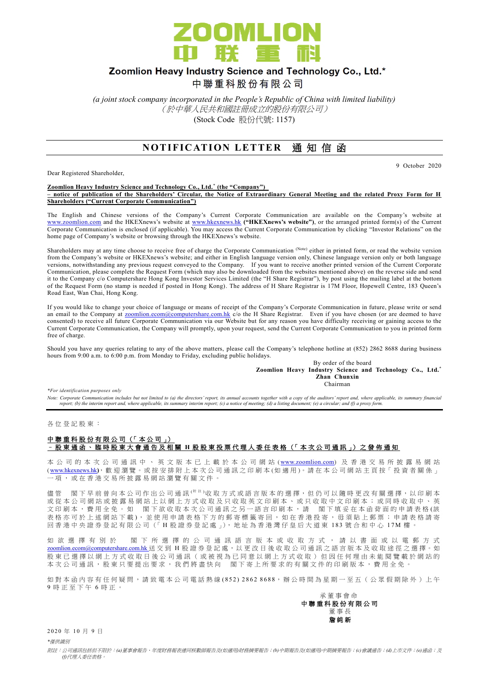

# Zoomlion Heavy Industry Science and Technology Co., Ltd.\*

中聯重科股份有限公司

*(a joint stock company incorporated in the People's Republic of China with limited liability)* (於中華人民共和國註冊成立的股份有限公司) (Stock Code 股份代號: 1157)

## **NOTIFICATION LETTER 通知信函**

Dear Registered Shareholder,

9 October 2020

#### **Zoomlion Heavy Industry Science and Technology Co., Ltd.\* (the "Company") – notice of publication of the Shareholders' Circular, the Notice of Extraordinary General Meeting and the related Proxy Form for H Shareholders ("Current Corporate Communication")**

The English and Chinese versions of the Company's Current Corporate Communication are available on the Company's website at [www.zoomlion.com](http://www.zoomlion.com/) and the HKEXnews's website at [www.hkexnews.hk](http://www.hkexnews.hk/) **("HKEXnews's website")**, or the arranged printed form(s) of the Current Corporate Communication is enclosed (if applicable). You may access the Current Corporate Communication by clicking "Investor Relations" on the home page of Company's website or browsing through the HKEXnews's website.

Shareholders may at any time choose to receive free of charge the Corporate Communication (Note) either in printed form, or read the website version from the Company's website or HKEXnews's website; and either in English language version only, Chinese language version only or both language versions, notwithstanding any previous request conveyed to the Company. If you want to receive another printed version of the Current Corporate Communication, please complete the Request Form (which may also be downloaded from the websites mentioned above) on the reverse side and send it to the Company c/o Computershare Hong Kong Investor Services Limited (the "H Share Registrar"), by post using the mailing label at the bottom of the Request Form (no stamp is needed if posted in Hong Kong). The address of H Share Registrar is 17M Floor, Hopewell Centre, 183 Queen's Road East, Wan Chai, Hong Kong.

If you would like to change your choice of language or means of receipt of the Company's Corporate Communication in future, please write or send an email to the Company at [zoomlion.ecom@computershare.com.hk](file://///oceania/hongkong/Data/G13GROUP/Project/Zoomlion/eComm/eComm%202013%20Annual/zoomlion.ecom@computershare.com.hk) c/o the H Share Registrar. Even if you have chosen (or are deemed to have consented) to receive all future Corporate Communication via our Website but for any reason you have difficulty receiving or gaining access to the Current Corporate Communication, the Company will promptly, upon your request, send the Current Corporate Communication to you in printed form free of charge.

Should you have any queries relating to any of the above matters, please call the Company's telephone hotline at (852) 2862 8688 during business hours from 9:00 a.m. to 6:00 p.m. from Monday to Friday, excluding public holidays.

By order of the board **Zoomlion Heavy Industry Science and Technology Co., Ltd.\* Zhan Chunxin** Chairman

*\*For identification purposes only* 

*Note: Corporate Communication includes but not limited to (a) the directors' report, its annual accounts together with a copy of the auditors' report and, where applicable, its summary financial report; (b) the interim report and, where applicable, its summary interim report; (c) a notice of meeting; (d) a listing document; (e) a circular; and (f) a proxy form.*

各 位 登 記 股 東 :

### 中聯重科股份有限公司 (「本公司」) – 股東通函、臨時股東大會通告及相關 **H** 股 股 東 投 票 代 理 人 委 任 表 格 (「 本 次 公 司 通 訊 」) 之 發 佈 通 知

本 公 司 的 本 次 公 司 通 訊 中 、 英 文 版 本 已 上 載 於 本 公 司 網 站 ([www.zoomlion.com](http://www.zoomlion.com/)) 及 香 港 交 易 所 披 露 易 網 站 ( [www.hkexnews.hk](http://www.hkexnews.hk/)**)**, 歡 迎 瀏 覽 。或 按 安 排 附 上 本 次 公 司 通 訊 之印刷本 (如適用 )。 請 在 本 公 司 網 站 主 頁 按「 投 資 者 關 係 」 一項, 或 在 香 港 交 易 所 披 露 易 網 站 瀏 覽 有 關 文 件 。

儒管 閣下 早 前 曾 向 本 公 司 作 出 公 司 通 訊 <sup>( 附 註 )</sup>收 取 方 式 或 語 言 版 本 的 選 擇, 但 仍 可 以 隨 時 更 改 有 關 選 擇, 以 印 刷 本 或從本公司網站或披露易網站上以網上方式收取及只收取英文印刷本、或只收取中文印刷本;或同時收取中、英 文印刷本,費用全免。如 閣下欲收取本次公司通訊之另一語言印刷本,請 閣下填妥在本函背面的申請表格(該 表格亦可於上述網站下載), 並使用申請表格下方的郵寄標籤寄回, 如在香港投寄, 毋須貼上郵票; 申請表格請寄 回香港中央證券登記有限公司(「H股證券登記處」), 地址為香港灣仔皇后大道東 183號合和中心 17M 樓

如 欲 選 擇 有 別 於 閣 下 所 選 擇 的 公 司 通 訊 語 言 版 本 或 收 取 方 式 , 請 以 書 面 或 以 電 郵 方 式 [zoomlion.ecom@computershare.com.hk](mailto:zoomlion.ecom@computershare.com.hk) 送 交 到 H 股 證 券 登 記 處, 以 更 改 日 後 收 取 公 司 通 訊 之 語 言 版 本 及 收 取 途 徑 之 選 擇 。 如 股 東 已 選 擇 以 網 上 方 式 收 取 日 後 公 司 通 訊 ( 或 被 視 為 已 同 意 以 網 上 方 式 收 取 ) 但 因 任 何 理 由 未 能 閲 覽 載 於 網 站 的 本次公司通訊,股東只要提出要求,我們將盡快向 閣下寄上所要求的有關文件的印刷版本,費用全免。

如對本函內容有任何疑問,請致電本公司電話熱線(852) 2862 8688,辦公時間為星期一至五 (公眾假期除外)上午 9 時正至下午 6 時 正 。

承董事會命 中 聯 重 科 股 份 有 限 公 司 董事長 詹 純 新

2 0 2 0 年 1 0 月 9 日

*\**僅供識別

附註:公司通訊包括但不限於:*(a)*董事會報告、年度財務報表連同核數師報告及*(*如適用*)*財務摘要報告;*(b)*中期報告及*(*如適用*)*中期摘要報告;*(c)*會議通告;*(d)*上市文件;*(e)*通函;及 *(f)*代理人委任表格。